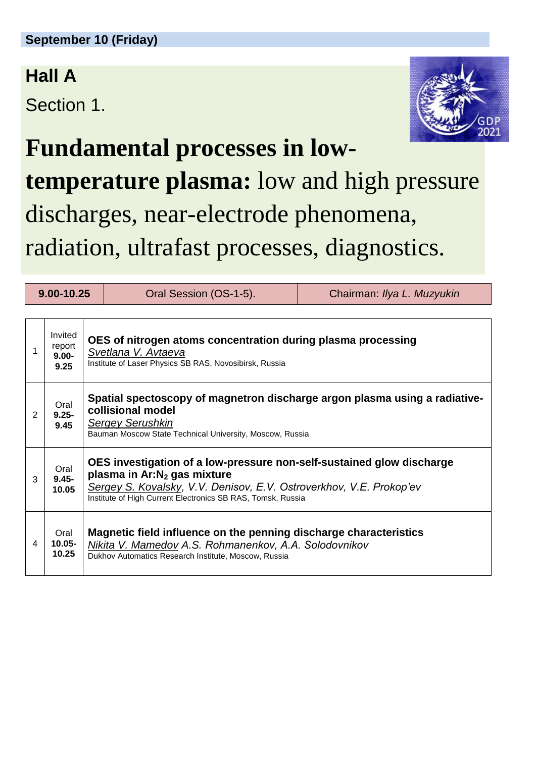## **Hall A**

Section 1.



## **Fundamental processes in lowtemperature plasma:** low and high pressure discharges, near-electrode phenomena, radiation, ultrafast processes, diagnostics.

| 9.00-10.25 |                                       |                                                                                                                                                                                                                                                        | Oral Session (OS-1-5).                                                                                                                                                             | Chairman: Ilya L. Muzyukin |  |  |
|------------|---------------------------------------|--------------------------------------------------------------------------------------------------------------------------------------------------------------------------------------------------------------------------------------------------------|------------------------------------------------------------------------------------------------------------------------------------------------------------------------------------|----------------------------|--|--|
|            | Invited<br>report<br>$9.00 -$<br>9.25 | OES of nitrogen atoms concentration during plasma processing<br>Svetlana V. Avtaeva<br>Institute of Laser Physics SB RAS, Novosibirsk, Russia                                                                                                          |                                                                                                                                                                                    |                            |  |  |
| 2          | Oral<br>$9.25 -$<br>9.45              | Spatial spectoscopy of magnetron discharge argon plasma using a radiative-<br>collisional model<br><b>Sergey Serushkin</b><br>Bauman Moscow State Technical University, Moscow, Russia                                                                 |                                                                                                                                                                                    |                            |  |  |
| 3          | Oral<br>$9.45 -$<br>10.05             | OES investigation of a low-pressure non-self-sustained glow discharge<br>plasma in Ar:N <sub>2</sub> gas mixture<br>Sergey S. Kovalsky, V.V. Denisov, E.V. Ostroverkhov, V.E. Prokop'ev<br>Institute of High Current Electronics SB RAS, Tomsk, Russia |                                                                                                                                                                                    |                            |  |  |
| 4          | Oral<br>$10.05 -$<br>10.25            |                                                                                                                                                                                                                                                        | Magnetic field influence on the penning discharge characteristics<br>Nikita V. Mamedov A.S. Rohmanenkov, A.A. Solodovnikov<br>Dukhov Automatics Research Institute, Moscow, Russia |                            |  |  |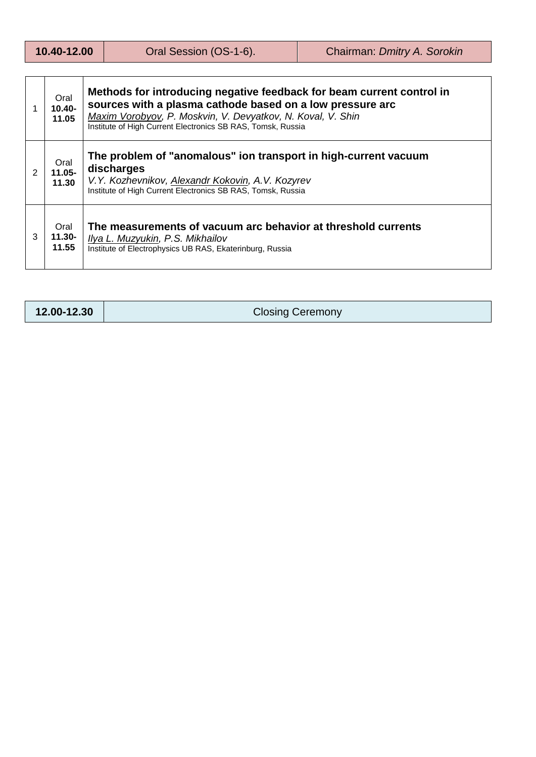| 10.40-12.00 |  |
|-------------|--|
|             |  |

|   | Oral<br>$10.40 -$<br>11.05                                                                                                                                                               | Methods for introducing negative feedback for beam current control in<br>sources with a plasma cathode based on a low pressure arc<br>Maxim Vorobyov, P. Moskvin, V. Devyatkov, N. Koval, V. Shin<br>Institute of High Current Electronics SB RAS, Tomsk, Russia |  |
|---|------------------------------------------------------------------------------------------------------------------------------------------------------------------------------------------|------------------------------------------------------------------------------------------------------------------------------------------------------------------------------------------------------------------------------------------------------------------|--|
| 2 | Oral<br>$11.05 -$<br>11.30                                                                                                                                                               | The problem of "anomalous" ion transport in high-current vacuum<br>discharges<br>V.Y. Kozhevnikov, Alexandr Kokovin, A.V. Kozyrev<br>Institute of High Current Electronics SB RAS, Tomsk, Russia                                                                 |  |
| 3 | The measurements of vacuum arc behavior at threshold currents<br>Oral<br>11.30-<br>Ilya L. Muzyukin, P.S. Mikhailov<br>11.55<br>Institute of Electrophysics UB RAS, Ekaterinburg, Russia |                                                                                                                                                                                                                                                                  |  |

**12.00-12.30** Closing Ceremony